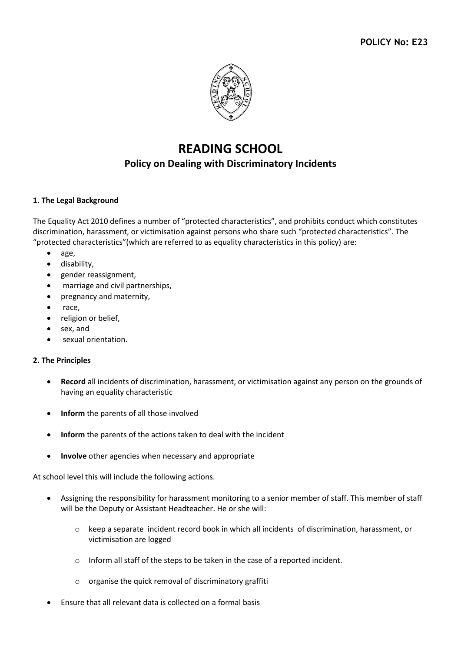

# **READING SCHOOL Policy on Dealing with Discriminatory Incidents**

#### **1. The Legal Background**

The Equality Act 2010 defines a number of "protected characteristics", and prohibits conduct which constitutes discrimination, harassment, or victimisation against persons who share such "protected characteristics". The "protected characteristics"(which are referred to as equality characteristics in this policy) are:

- age,
- disability,
- gender reassignment,
- marriage and civil partnerships,
- pregnancy and maternity,
- race,
- religion or belief,
- sex, and
- sexual orientation.

#### **2. The Principles**

- **Record** all incidents of discrimination, harassment, or victimisation against any person on the grounds of having an equality characteristic
- **Inform** the parents of all those involved
- **Inform** the parents of the actions taken to deal with the incident
- **Involve** other agencies when necessary and appropriate

At school level this will include the following actions.

- Assigning the responsibility for harassment monitoring to a senior member of staff. This member of staff will be the Deputy or Assistant Headteacher. He or she will:
	- o keep a separate incident record book in which all incidents of discrimination, harassment, or victimisation are logged
	- o Inform all staff of the steps to be taken in the case of a reported incident.
	- o organise the quick removal of discriminatory graffiti
- Ensure that all relevant data is collected on a formal basis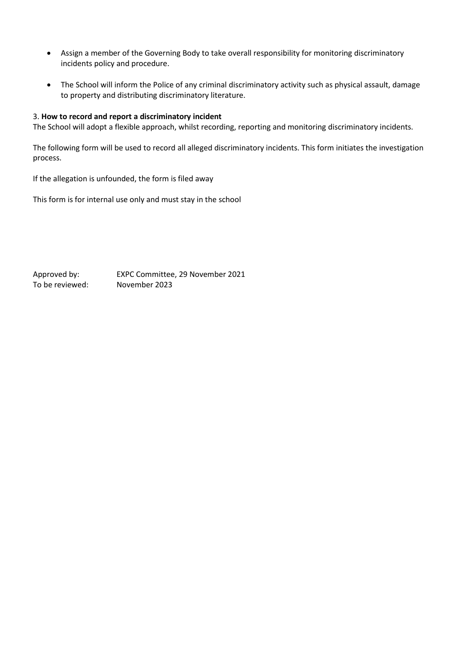- Assign a member of the Governing Body to take overall responsibility for monitoring discriminatory incidents policy and procedure.
- The School will inform the Police of any criminal discriminatory activity such as physical assault, damage to property and distributing discriminatory literature.

#### 3. **How to record and report a discriminatory incident**

The School will adopt a flexible approach, whilst recording, reporting and monitoring discriminatory incidents.

The following form will be used to record all alleged discriminatory incidents. This form initiates the investigation process.

If the allegation is unfounded, the form is filed away

This form is for internal use only and must stay in the school

Approved by: EXPC Committee, 29 November 2021 To be reviewed: November 2023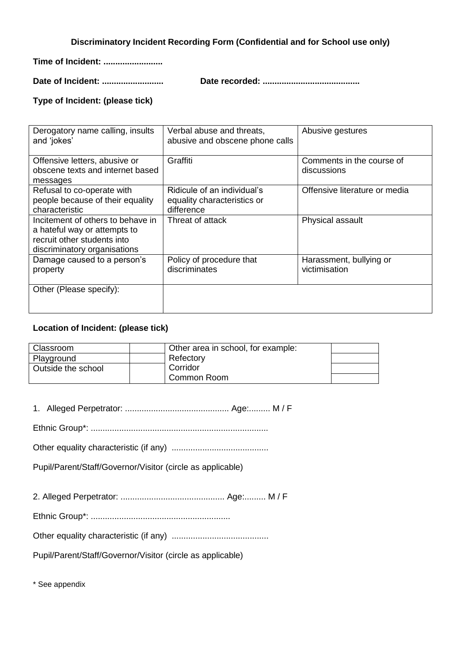**Discriminatory Incident Recording Form (Confidential and for School use only)**

**Time of Incident: .........................**

**Date of Incident: .......................... Date recorded: .........................................**

#### **Type of Incident: (please tick)**

| Derogatory name calling, insults<br>and 'jokes'                                                                                  | Verbal abuse and threats,<br>abusive and obscene phone calls             | Abusive gestures                         |
|----------------------------------------------------------------------------------------------------------------------------------|--------------------------------------------------------------------------|------------------------------------------|
| Offensive letters, abusive or<br>obscene texts and internet based<br>messages                                                    | Graffiti                                                                 | Comments in the course of<br>discussions |
| Refusal to co-operate with<br>people because of their equality<br>characteristic                                                 | Ridicule of an individual's<br>equality characteristics or<br>difference | Offensive literature or media            |
| Incitement of others to behave in<br>a hateful way or attempts to<br>recruit other students into<br>discriminatory organisations | Threat of attack                                                         | Physical assault                         |
| Damage caused to a person's<br>property                                                                                          | Policy of procedure that<br>discriminates                                | Harassment, bullying or<br>victimisation |
| Other (Please specify):                                                                                                          |                                                                          |                                          |

### **Location of Incident: (please tick)**

| Classroom          | Other area in school, for example: |  |
|--------------------|------------------------------------|--|
| Playground         | Refectory                          |  |
| Outside the school | Corridor                           |  |
|                    | Common Room                        |  |

1. Alleged Perpetrator: ............................................ Age:......... M / F

Ethnic Group\*: ...........................................................................

Other equality characteristic (if any) .........................................

Pupil/Parent/Staff/Governor/Visitor (circle as applicable)

2. Alleged Perpetrator: ............................................ Age:......... M / F

Ethnic Group\*: ...........................................................

Other equality characteristic (if any) .........................................

Pupil/Parent/Staff/Governor/Visitor (circle as applicable)

\* See appendix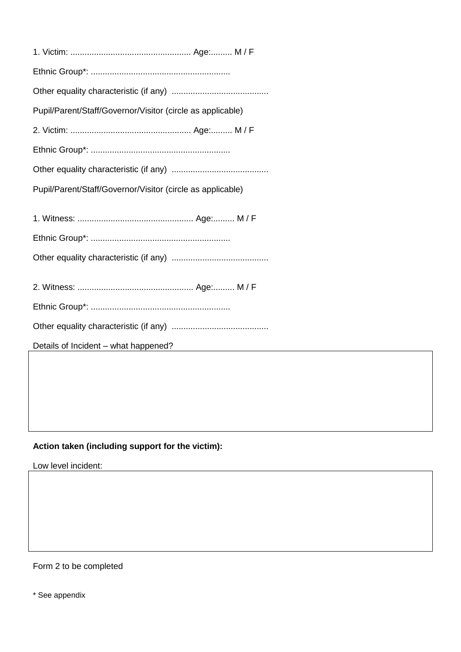| Pupil/Parent/Staff/Governor/Visitor (circle as applicable)                                 |
|--------------------------------------------------------------------------------------------|
|                                                                                            |
|                                                                                            |
|                                                                                            |
| Pupil/Parent/Staff/Governor/Visitor (circle as applicable)                                 |
|                                                                                            |
|                                                                                            |
|                                                                                            |
|                                                                                            |
|                                                                                            |
|                                                                                            |
|                                                                                            |
|                                                                                            |
|                                                                                            |
| Details of Incident – what happened?<br><u> 1989 - Johann Barbara, martxa amerikan per</u> |
|                                                                                            |

# **Action taken (including support for the victim):**

Low level incident:

Form 2 to be completed

\* See appendix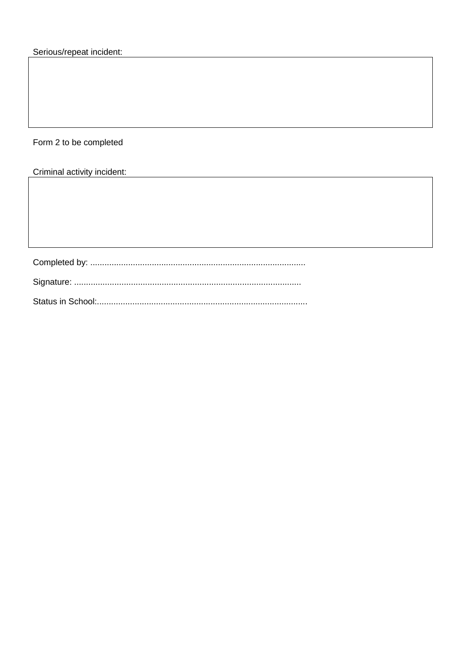Form 2 to be completed

Criminal activity incident: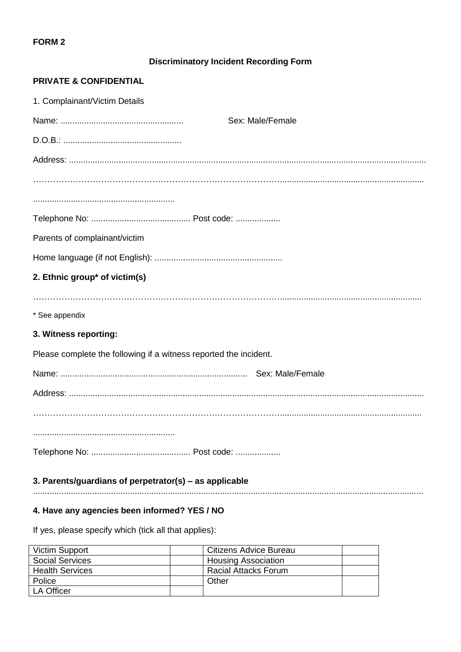#### **FORM 2**

## **Discriminatory Incident Recording Form**

#### **PRIVATE & CONFIDENTIAL**

| 1. Complainant/Victim Details                                     |
|-------------------------------------------------------------------|
| Sex: Male/Female                                                  |
|                                                                   |
|                                                                   |
|                                                                   |
|                                                                   |
|                                                                   |
| Parents of complainant/victim                                     |
|                                                                   |
| 2. Ethnic group* of victim(s)                                     |
|                                                                   |
| * See appendix                                                    |
| 3. Witness reporting:                                             |
| Please complete the following if a witness reported the incident. |
|                                                                   |
|                                                                   |
|                                                                   |
|                                                                   |
|                                                                   |
| 3. Parents/guardians of perpetrator(s) - as applicable            |
|                                                                   |

## **4. Have any agencies been informed? YES / NO**

If yes, please specify which (tick all that applies):

| Victim Support         | Citizens Advice Bureau     |
|------------------------|----------------------------|
| <b>Social Services</b> | <b>Housing Association</b> |
| <b>Health Services</b> | Racial Attacks Forum       |
| Police                 | Other                      |
| LA Officer             |                            |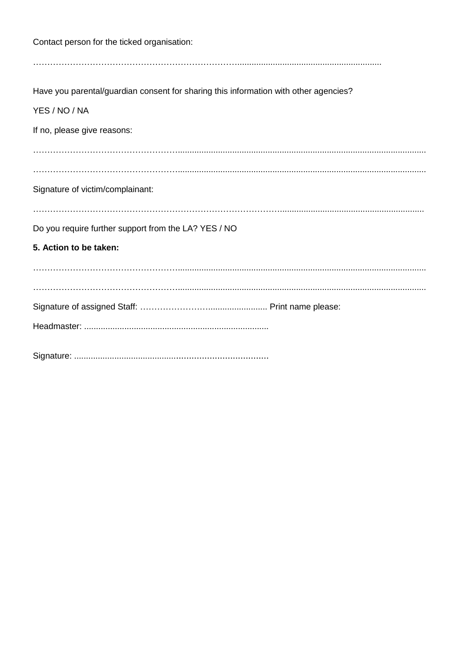| Contact person for the ticked organisation:                                          |
|--------------------------------------------------------------------------------------|
|                                                                                      |
| Have you parental/guardian consent for sharing this information with other agencies? |
| YES / NO / NA                                                                        |
| If no, please give reasons:                                                          |
|                                                                                      |
|                                                                                      |
| Signature of victim/complainant:                                                     |
| Do you require further support from the LA? YES / NO                                 |
| 5. Action to be taken:                                                               |
|                                                                                      |
|                                                                                      |
|                                                                                      |
|                                                                                      |